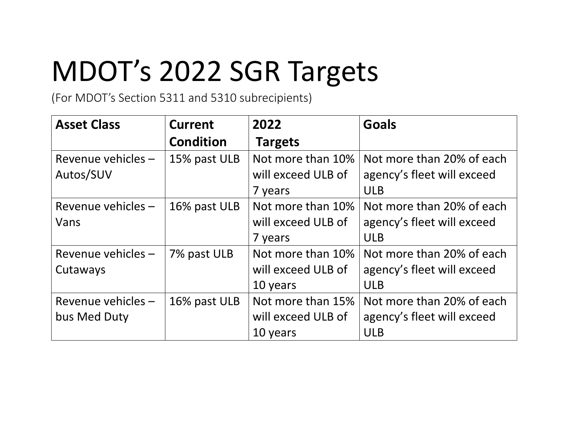## MDOT's 2022 SGR Targets

(For MDOT's Section 5311 and 5310 subrecipients)

| <b>Asset Class</b> | Current          | 2022               | <b>Goals</b>               |
|--------------------|------------------|--------------------|----------------------------|
|                    | <b>Condition</b> | <b>Targets</b>     |                            |
| Revenue vehicles - | 15% past ULB     | Not more than 10%  | Not more than 20% of each  |
| Autos/SUV          |                  | will exceed ULB of | agency's fleet will exceed |
|                    |                  | 7 years            | <b>ULB</b>                 |
| Revenue vehicles - | 16% past ULB     | Not more than 10%  | Not more than 20% of each  |
| Vans               |                  | will exceed ULB of | agency's fleet will exceed |
|                    |                  | 7 years            | <b>ULB</b>                 |
| Revenue vehicles - | 7% past ULB      | Not more than 10%  | Not more than 20% of each  |
| Cutaways           |                  | will exceed ULB of | agency's fleet will exceed |
|                    |                  | 10 years           | <b>ULB</b>                 |
| Revenue vehicles - | 16% past ULB     | Not more than 15%  | Not more than 20% of each  |
| bus Med Duty       |                  | will exceed ULB of | agency's fleet will exceed |
|                    |                  | 10 years           | <b>ULB</b>                 |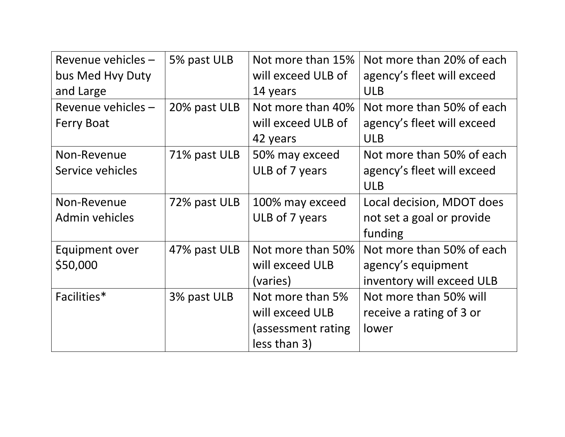| Revenue vehicles - | 5% past ULB  | Not more than 15%  | Not more than 20% of each  |
|--------------------|--------------|--------------------|----------------------------|
| bus Med Hvy Duty   |              | will exceed ULB of | agency's fleet will exceed |
| and Large          |              | 14 years           | <b>ULB</b>                 |
| Revenue vehicles - | 20% past ULB | Not more than 40%  | Not more than 50% of each  |
| <b>Ferry Boat</b>  |              | will exceed ULB of | agency's fleet will exceed |
|                    |              | 42 years           | <b>ULB</b>                 |
| Non-Revenue        | 71% past ULB | 50% may exceed     | Not more than 50% of each  |
| Service vehicles   |              | ULB of 7 years     | agency's fleet will exceed |
|                    |              |                    | <b>ULB</b>                 |
| Non-Revenue        | 72% past ULB | 100% may exceed    | Local decision, MDOT does  |
| Admin vehicles     |              | ULB of 7 years     | not set a goal or provide  |
|                    |              |                    | funding                    |
| Equipment over     | 47% past ULB | Not more than 50%  | Not more than 50% of each  |
| \$50,000           |              | will exceed ULB    | agency's equipment         |
|                    |              | (varies)           | inventory will exceed ULB  |
| Facilities*        | 3% past ULB  | Not more than 5%   | Not more than 50% will     |
|                    |              | will exceed ULB    | receive a rating of 3 or   |
|                    |              | (assessment rating | lower                      |
|                    |              | less than 3)       |                            |